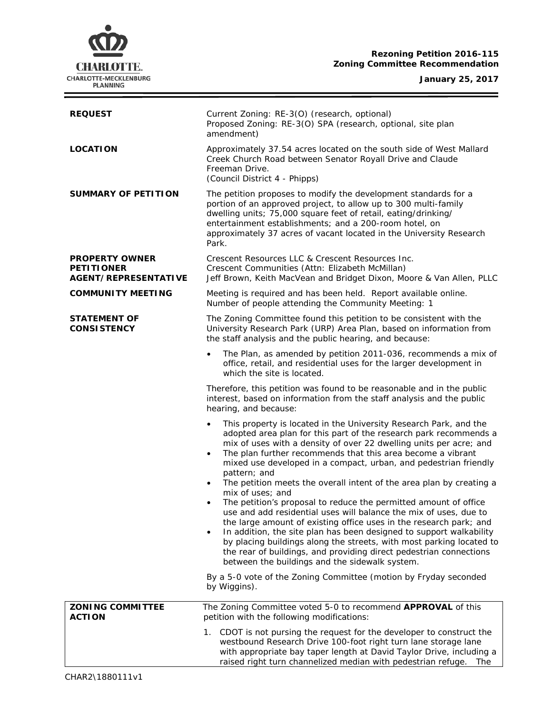## **Rezoning Petition 2016-115 Zoning Committee Recommendation**

**January 25, 2017**

ł,



| <b>REQUEST</b>                                                            | Current Zoning: RE-3(O) (research, optional)<br>Proposed Zoning: RE-3(O) SPA (research, optional, site plan<br>amendment)                                                                                                                                                                                                                                                                                                                                                                                                        |
|---------------------------------------------------------------------------|----------------------------------------------------------------------------------------------------------------------------------------------------------------------------------------------------------------------------------------------------------------------------------------------------------------------------------------------------------------------------------------------------------------------------------------------------------------------------------------------------------------------------------|
| <b>LOCATION</b>                                                           | Approximately 37.54 acres located on the south side of West Mallard<br>Creek Church Road between Senator Royall Drive and Claude<br>Freeman Drive.<br>(Council District 4 - Phipps)                                                                                                                                                                                                                                                                                                                                              |
| <b>SUMMARY OF PETITION</b>                                                | The petition proposes to modify the development standards for a<br>portion of an approved project, to allow up to 300 multi-family<br>dwelling units; 75,000 square feet of retail, eating/drinking/<br>entertainment establishments; and a 200-room hotel, on<br>approximately 37 acres of vacant located in the University Research<br>Park.                                                                                                                                                                                   |
| <b>PROPERTY OWNER</b><br><b>PETITIONER</b><br><b>AGENT/REPRESENTATIVE</b> | Crescent Resources LLC & Crescent Resources Inc.<br>Crescent Communities (Attn: Elizabeth McMillan)<br>Jeff Brown, Keith MacVean and Bridget Dixon, Moore & Van Allen, PLLC                                                                                                                                                                                                                                                                                                                                                      |
| <b>COMMUNITY MEETING</b>                                                  | Meeting is required and has been held. Report available online.<br>Number of people attending the Community Meeting: 1                                                                                                                                                                                                                                                                                                                                                                                                           |
| <b>STATEMENT OF</b><br><b>CONSISTENCY</b>                                 | The Zoning Committee found this petition to be consistent with the<br>University Research Park (URP) Area Plan, based on information from<br>the staff analysis and the public hearing, and because:                                                                                                                                                                                                                                                                                                                             |
|                                                                           | The Plan, as amended by petition 2011-036, recommends a mix of<br>$\bullet$<br>office, retail, and residential uses for the larger development in<br>which the site is located.                                                                                                                                                                                                                                                                                                                                                  |
|                                                                           | Therefore, this petition was found to be reasonable and in the public<br>interest, based on information from the staff analysis and the public<br>hearing, and because:                                                                                                                                                                                                                                                                                                                                                          |
|                                                                           | This property is located in the University Research Park, and the<br>$\bullet$<br>adopted area plan for this part of the research park recommends a<br>mix of uses with a density of over 22 dwelling units per acre; and<br>The plan further recommends that this area become a vibrant<br>$\bullet$<br>mixed use developed in a compact, urban, and pedestrian friendly<br>pattern; and<br>The petition meets the overall intent of the area plan by creating a<br>$\bullet$                                                   |
|                                                                           | mix of uses; and<br>The petition's proposal to reduce the permitted amount of office<br>$\bullet$<br>use and add residential uses will balance the mix of uses, due to<br>the large amount of existing office uses in the research park; and<br>In addition, the site plan has been designed to support walkability<br>$\bullet$<br>by placing buildings along the streets, with most parking located to<br>the rear of buildings, and providing direct pedestrian connections<br>between the buildings and the sidewalk system. |
|                                                                           | By a 5-0 vote of the Zoning Committee (motion by Fryday seconded<br>by Wiggins).                                                                                                                                                                                                                                                                                                                                                                                                                                                 |
| <b>ZONING COMMITTEE</b><br><b>ACTION</b>                                  | The Zoning Committee voted 5-0 to recommend APPROVAL of this<br>petition with the following modifications:                                                                                                                                                                                                                                                                                                                                                                                                                       |
|                                                                           | 1. CDOT is not pursing the request for the developer to construct the<br>westbound Research Drive 100-foot right turn lane storage lane<br>with appropriate bay taper length at David Taylor Drive, including a<br>raised right turn channelized median with pedestrian refuge. The                                                                                                                                                                                                                                              |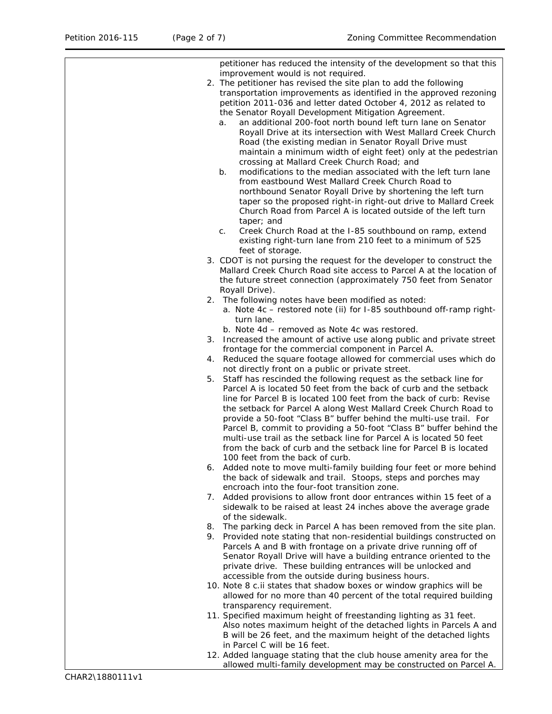|    | petitioner has reduced the intensity of the development so that this                                                                       |
|----|--------------------------------------------------------------------------------------------------------------------------------------------|
|    | improvement would is not required.                                                                                                         |
|    | 2. The petitioner has revised the site plan to add the following                                                                           |
|    | transportation improvements as identified in the approved rezoning                                                                         |
|    | petition 2011-036 and letter dated October 4, 2012 as related to                                                                           |
|    | the Senator Royall Development Mitigation Agreement.                                                                                       |
|    | an additional 200-foot north bound left turn lane on Senator<br>a.                                                                         |
|    | Royall Drive at its intersection with West Mallard Creek Church                                                                            |
|    | Road (the existing median in Senator Royall Drive must                                                                                     |
|    | maintain a minimum width of eight feet) only at the pedestrian                                                                             |
|    | crossing at Mallard Creek Church Road; and                                                                                                 |
|    | modifications to the median associated with the left turn lane<br>b.                                                                       |
|    | from eastbound West Mallard Creek Church Road to                                                                                           |
|    | northbound Senator Royall Drive by shortening the left turn                                                                                |
|    | taper so the proposed right-in right-out drive to Mallard Creek                                                                            |
|    | Church Road from Parcel A is located outside of the left turn<br>taper; and                                                                |
|    | Creek Church Road at the I-85 southbound on ramp, extend<br>C.                                                                             |
|    | existing right-turn lane from 210 feet to a minimum of 525                                                                                 |
|    | feet of storage.                                                                                                                           |
|    | 3. CDOT is not pursing the request for the developer to construct the                                                                      |
|    | Mallard Creek Church Road site access to Parcel A at the location of                                                                       |
|    | the future street connection (approximately 750 feet from Senator                                                                          |
|    | Royall Drive).                                                                                                                             |
|    | 2. The following notes have been modified as noted:                                                                                        |
|    | a. Note 4c - restored note (ii) for I-85 southbound off-ramp right-                                                                        |
|    | turn lane.                                                                                                                                 |
|    | b. Note 4d – removed as Note 4c was restored.                                                                                              |
|    | 3. Increased the amount of active use along public and private street                                                                      |
|    | frontage for the commercial component in Parcel A.                                                                                         |
|    | 4. Reduced the square footage allowed for commercial uses which do                                                                         |
|    | not directly front on a public or private street.                                                                                          |
| 5. | Staff has rescinded the following request as the setback line for                                                                          |
|    | Parcel A is located 50 feet from the back of curb and the setback                                                                          |
|    | line for Parcel B is located 100 feet from the back of curb: Revise                                                                        |
|    | the setback for Parcel A along West Mallard Creek Church Road to                                                                           |
|    | provide a 50-foot "Class B" buffer behind the multi-use trail. For                                                                         |
|    | Parcel B, commit to providing a 50-foot "Class B" buffer behind the<br>multi-use trail as the setback line for Parcel A is located 50 feet |
|    | from the back of curb and the setback line for Parcel B is located                                                                         |
|    | 100 feet from the back of curb.                                                                                                            |
|    | 6. Added note to move multi-family building four feet or more behind                                                                       |
|    | the back of sidewalk and trail. Stoops, steps and porches may                                                                              |
|    | encroach into the four-foot transition zone.                                                                                               |
|    | 7. Added provisions to allow front door entrances within 15 feet of a                                                                      |
|    | sidewalk to be raised at least 24 inches above the average grade                                                                           |
|    | of the sidewalk.                                                                                                                           |
| 8. | The parking deck in Parcel A has been removed from the site plan.                                                                          |
|    | 9. Provided note stating that non-residential buildings constructed on                                                                     |
|    | Parcels A and B with frontage on a private drive running off of                                                                            |
|    | Senator Royall Drive will have a building entrance oriented to the                                                                         |
|    | private drive. These building entrances will be unlocked and                                                                               |
|    | accessible from the outside during business hours.                                                                                         |
|    | 10. Note 8 c.ii states that shadow boxes or window graphics will be                                                                        |
|    | allowed for no more than 40 percent of the total required building                                                                         |
|    | transparency requirement.                                                                                                                  |
|    | 11. Specified maximum height of freestanding lighting as 31 feet.                                                                          |
|    | Also notes maximum height of the detached lights in Parcels A and                                                                          |
|    | B will be 26 feet, and the maximum height of the detached lights                                                                           |
|    | in Parcel C will be 16 feet.                                                                                                               |
|    | 12. Added language stating that the club house amenity area for the                                                                        |
|    | allowed multi-family development may be constructed on Parcel A.                                                                           |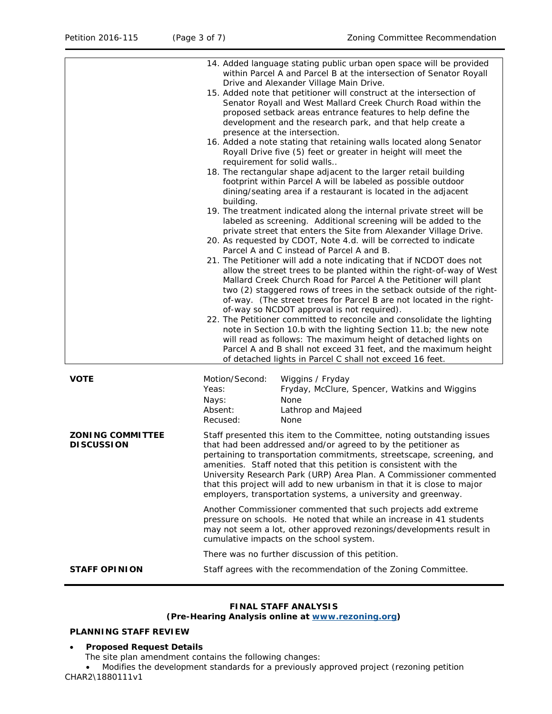|                                              | 14. Added language stating public urban open space will be provided<br>within Parcel A and Parcel B at the intersection of Senator Royall<br>Drive and Alexander Village Main Drive.<br>15. Added note that petitioner will construct at the intersection of<br>Senator Royall and West Mallard Creek Church Road within the<br>proposed setback areas entrance features to help define the<br>development and the research park, and that help create a<br>presence at the intersection.<br>16. Added a note stating that retaining walls located along Senator<br>Royall Drive five (5) feet or greater in height will meet the<br>requirement for solid walls<br>18. The rectangular shape adjacent to the larger retail building<br>footprint within Parcel A will be labeled as possible outdoor<br>dining/seating area if a restaurant is located in the adjacent<br>building.<br>19. The treatment indicated along the internal private street will be<br>labeled as screening. Additional screening will be added to the<br>private street that enters the Site from Alexander Village Drive.<br>20. As requested by CDOT, Note 4.d. will be corrected to indicate<br>Parcel A and C instead of Parcel A and B.<br>21. The Petitioner will add a note indicating that if NCDOT does not<br>allow the street trees to be planted within the right-of-way of West<br>Mallard Creek Church Road for Parcel A the Petitioner will plant<br>two (2) staggered rows of trees in the setback outside of the right-<br>of-way. (The street trees for Parcel B are not located in the right-<br>of-way so NCDOT approval is not required).<br>22. The Petitioner committed to reconcile and consolidate the lighting<br>note in Section 10.b with the lighting Section 11.b; the new note<br>will read as follows: The maximum height of detached lights on<br>Parcel A and B shall not exceed 31 feet, and the maximum height<br>of detached lights in Parcel C shall not exceed 16 feet. |  |
|----------------------------------------------|-------------------------------------------------------------------------------------------------------------------------------------------------------------------------------------------------------------------------------------------------------------------------------------------------------------------------------------------------------------------------------------------------------------------------------------------------------------------------------------------------------------------------------------------------------------------------------------------------------------------------------------------------------------------------------------------------------------------------------------------------------------------------------------------------------------------------------------------------------------------------------------------------------------------------------------------------------------------------------------------------------------------------------------------------------------------------------------------------------------------------------------------------------------------------------------------------------------------------------------------------------------------------------------------------------------------------------------------------------------------------------------------------------------------------------------------------------------------------------------------------------------------------------------------------------------------------------------------------------------------------------------------------------------------------------------------------------------------------------------------------------------------------------------------------------------------------------------------------------------------------------------------------------------------------------------------------------------------------------------------|--|
| <b>VOTE</b>                                  | Motion/Second:<br>Wiggins / Fryday<br>Fryday, McClure, Spencer, Watkins and Wiggins<br>Yeas:<br>None<br>Nays:<br>Absent:<br>Lathrop and Majeed<br>None<br>Recused:                                                                                                                                                                                                                                                                                                                                                                                                                                                                                                                                                                                                                                                                                                                                                                                                                                                                                                                                                                                                                                                                                                                                                                                                                                                                                                                                                                                                                                                                                                                                                                                                                                                                                                                                                                                                                        |  |
| <b>ZONING COMMITTEE</b><br><b>DISCUSSION</b> | Staff presented this item to the Committee, noting outstanding issues<br>that had been addressed and/or agreed to by the petitioner as<br>pertaining to transportation commitments, streetscape, screening, and<br>amenities. Staff noted that this petition is consistent with the<br>University Research Park (URP) Area Plan. A Commissioner commented<br>that this project will add to new urbanism in that it is close to major<br>employers, transportation systems, a university and greenway.                                                                                                                                                                                                                                                                                                                                                                                                                                                                                                                                                                                                                                                                                                                                                                                                                                                                                                                                                                                                                                                                                                                                                                                                                                                                                                                                                                                                                                                                                     |  |
|                                              | Another Commissioner commented that such projects add extreme<br>pressure on schools. He noted that while an increase in 41 students<br>may not seem a lot, other approved rezonings/developments result in<br>cumulative impacts on the school system.                                                                                                                                                                                                                                                                                                                                                                                                                                                                                                                                                                                                                                                                                                                                                                                                                                                                                                                                                                                                                                                                                                                                                                                                                                                                                                                                                                                                                                                                                                                                                                                                                                                                                                                                   |  |
|                                              | There was no further discussion of this petition.                                                                                                                                                                                                                                                                                                                                                                                                                                                                                                                                                                                                                                                                                                                                                                                                                                                                                                                                                                                                                                                                                                                                                                                                                                                                                                                                                                                                                                                                                                                                                                                                                                                                                                                                                                                                                                                                                                                                         |  |
| <b>STAFF OPINION</b>                         | Staff agrees with the recommendation of the Zoning Committee.                                                                                                                                                                                                                                                                                                                                                                                                                                                                                                                                                                                                                                                                                                                                                                                                                                                                                                                                                                                                                                                                                                                                                                                                                                                                                                                                                                                                                                                                                                                                                                                                                                                                                                                                                                                                                                                                                                                             |  |

## **FINAL STAFF ANALYSIS**

**(Pre-Hearing Analysis online at [www.rezoning.org\)](http://www.rezoning.org/)** 

# **PLANNING STAFF REVIEW**

#### • **Proposed Request Details**

The site plan amendment contains the following changes:

CHAR2\1880111v1 • Modifies the development standards for a previously approved project (rezoning petition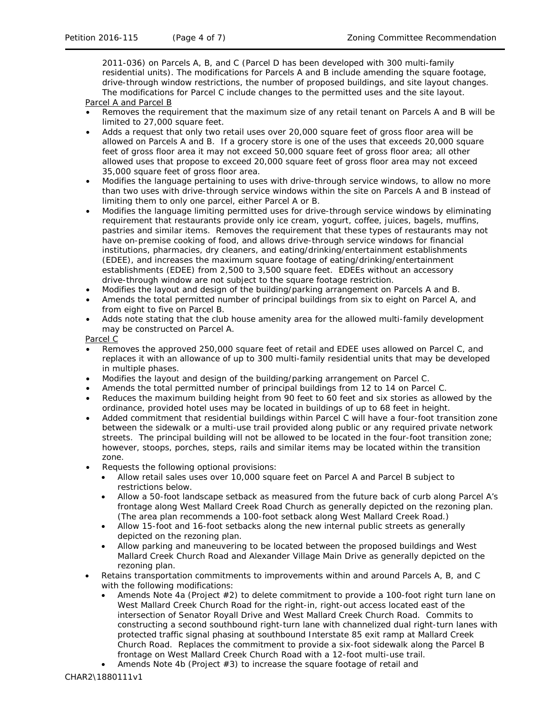2011-036) on Parcels A, B, and C (Parcel D has been developed with 300 multi-family residential units). The modifications for Parcels A and B include amending the square footage, drive-through window restrictions, the number of proposed buildings, and site layout changes. The modifications for Parcel C include changes to the permitted uses and the site layout.

## Parcel A and Parcel B

- Removes the requirement that the maximum size of any retail tenant on Parcels A and B will be limited to 27,000 square feet.
- Adds a request that only two retail uses over 20,000 square feet of gross floor area will be allowed on Parcels A and B. If a grocery store is one of the uses that exceeds 20,000 square feet of gross floor area it may not exceed 50,000 square feet of gross floor area; all other allowed uses that propose to exceed 20,000 square feet of gross floor area may not exceed 35,000 square feet of gross floor area.
- Modifies the language pertaining to uses with drive-through service windows, to allow no more than two uses with drive-through service windows within the site on Parcels A and B instead of limiting them to only one parcel, either Parcel A or B.
- Modifies the language limiting permitted uses for drive-through service windows by eliminating requirement that restaurants provide only ice cream, yogurt, coffee, juices, bagels, muffins, pastries and similar items. Removes the requirement that these types of restaurants may not have on-premise cooking of food, and allows drive-through service windows for financial institutions, pharmacies, dry cleaners, and eating/drinking/entertainment establishments (EDEE), and increases the maximum square footage of eating/drinking/entertainment establishments (EDEE) from 2,500 to 3,500 square feet. EDEEs without an accessory drive-through window are not subject to the square footage restriction.
- Modifies the layout and design of the building/parking arrangement on Parcels A and B.
- Amends the total permitted number of principal buildings from six to eight on Parcel A, and from eight to five on Parcel B.
- Adds note stating that the club house amenity area for the allowed multi-family development may be constructed on Parcel A.

Parcel C

- Removes the approved 250,000 square feet of retail and EDEE uses allowed on Parcel C, and replaces it with an allowance of up to 300 multi-family residential units that may be developed in multiple phases.
- Modifies the layout and design of the building/parking arrangement on Parcel C.
- Amends the total permitted number of principal buildings from 12 to 14 on Parcel C.
- Reduces the maximum building height from 90 feet to 60 feet and six stories as allowed by the ordinance, provided hotel uses may be located in buildings of up to 68 feet in height.
- Added commitment that residential buildings within Parcel C will have a four-foot transition zone between the sidewalk or a multi-use trail provided along public or any required private network streets. The principal building will not be allowed to be located in the four-foot transition zone; however, stoops, porches, steps, rails and similar items may be located within the transition zone.
- Requests the following optional provisions:
	- Allow retail sales uses over 10,000 square feet on Parcel A and Parcel B subject to restrictions below.
	- Allow a 50-foot landscape setback as measured from the future back of curb along Parcel A's frontage along West Mallard Creek Road Church as generally depicted on the rezoning plan. (The area plan recommends a 100-foot setback along West Mallard Creek Road.)
	- Allow 15-foot and 16-foot setbacks along the new internal public streets as generally depicted on the rezoning plan.
	- Allow parking and maneuvering to be located between the proposed buildings and West Mallard Creek Church Road and Alexander Village Main Drive as generally depicted on the rezoning plan.
- Retains transportation commitments to improvements within and around Parcels A, B, and C with the following modifications:
	- Amends Note 4a (Project #2) to delete commitment to provide a 100-foot right turn lane on West Mallard Creek Church Road for the right-in, right-out access located east of the intersection of Senator Royall Drive and West Mallard Creek Church Road. Commits to constructing a second southbound right-turn lane with channelized dual right-turn lanes with protected traffic signal phasing at southbound Interstate 85 exit ramp at Mallard Creek Church Road. Replaces the commitment to provide a six-foot sidewalk along the Parcel B frontage on West Mallard Creek Church Road with a 12-foot multi-use trail.
	- Amends Note 4b (Project #3) to increase the square footage of retail and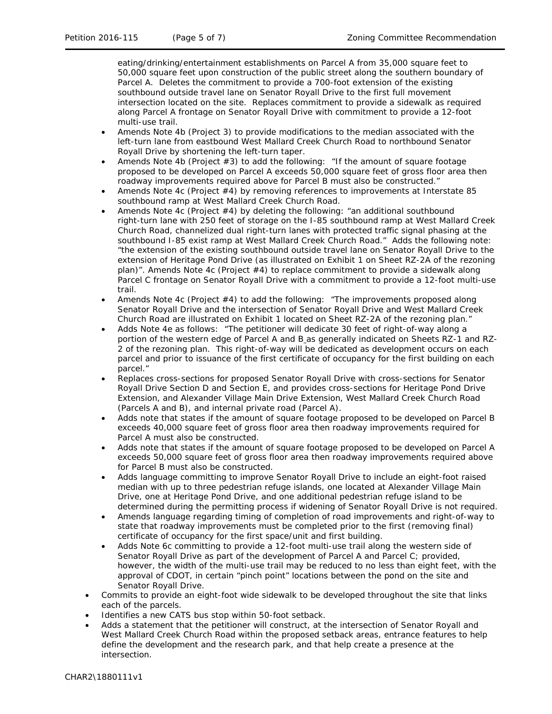eating/drinking/entertainment establishments on Parcel A from 35,000 square feet to 50,000 square feet upon construction of the public street along the southern boundary of Parcel A. Deletes the commitment to provide a 700-foot extension of the existing southbound outside travel lane on Senator Royall Drive to the first full movement intersection located on the site. Replaces commitment to provide a sidewalk as required along Parcel A frontage on Senator Royall Drive with commitment to provide a 12-foot multi-use trail.

- Amends Note 4b (Project 3) to provide modifications to the median associated with the left-turn lane from eastbound West Mallard Creek Church Road to northbound Senator Royall Drive by shortening the left-turn taper.
- Amends Note 4b (Project  $#3$ ) to add the following: "If the amount of square footage proposed to be developed on Parcel A exceeds 50,000 square feet of gross floor area then roadway improvements required above for Parcel B must also be constructed."
- Amends Note 4c (Project #4) by removing references to improvements at Interstate 85 southbound ramp at West Mallard Creek Church Road.
- Amends Note 4c (Project #4) by deleting the following: "an additional southbound right-turn lane with 250 feet of storage on the I-85 southbound ramp at West Mallard Creek Church Road, channelized dual right-turn lanes with protected traffic signal phasing at the southbound I-85 exist ramp at West Mallard Creek Church Road." Adds the following note: "the extension of the existing southbound outside travel lane on Senator Royall Drive to the extension of Heritage Pond Drive (as illustrated on Exhibit 1 on Sheet RZ-2A of the rezoning plan)". Amends Note 4c (Project #4) to replace commitment to provide a sidewalk along Parcel C frontage on Senator Royall Drive with a commitment to provide a 12-foot multi-use trail.
- Amends Note 4c (Project #4) to add the following: "The improvements proposed along Senator Royall Drive and the intersection of Senator Royall Drive and West Mallard Creek Church Road are illustrated on Exhibit 1 located on Sheet RZ-2A of the rezoning plan."
- Adds Note 4e as follows: "The petitioner will dedicate 30 feet of right-of-way along a portion of the western edge of Parcel A and B\_as generally indicated on Sheets RZ-1 and RZ-2 of the rezoning plan. This right-of-way will be dedicated as development occurs on each parcel and prior to issuance of the first certificate of occupancy for the first building on each parcel."
- Replaces cross-sections for proposed Senator Royall Drive with cross-sections for Senator Royall Drive Section D and Section E, and provides cross-sections for Heritage Pond Drive Extension, and Alexander Village Main Drive Extension, West Mallard Creek Church Road (Parcels A and B), and internal private road (Parcel A).
- Adds note that states if the amount of square footage proposed to be developed on Parcel B exceeds 40,000 square feet of gross floor area then roadway improvements required for Parcel A must also be constructed.
- Adds note that states if the amount of square footage proposed to be developed on Parcel A exceeds 50,000 square feet of gross floor area then roadway improvements required above for Parcel B must also be constructed.
- Adds language committing to improve Senator Royall Drive to include an eight-foot raised median with up to three pedestrian refuge islands, one located at Alexander Village Main Drive, one at Heritage Pond Drive, and one additional pedestrian refuge island to be determined during the permitting process if widening of Senator Royall Drive is not required.
- Amends language regarding timing of completion of road improvements and right-of-way to state that roadway improvements must be completed prior to the first (removing final) certificate of occupancy for the first space/unit and first building.
- Adds Note 6c committing to provide a 12-foot multi-use trail along the western side of Senator Royall Drive as part of the development of Parcel A and Parcel C; provided, however, the width of the multi-use trail may be reduced to no less than eight feet, with the approval of CDOT, in certain "pinch point" locations between the pond on the site and Senator Royall Drive.
- Commits to provide an eight-foot wide sidewalk to be developed throughout the site that links each of the parcels.
- Identifies a new CATS bus stop within 50-foot setback.
- Adds a statement that the petitioner will construct, at the intersection of Senator Royall and West Mallard Creek Church Road within the proposed setback areas, entrance features to help define the development and the research park, and that help create a presence at the intersection.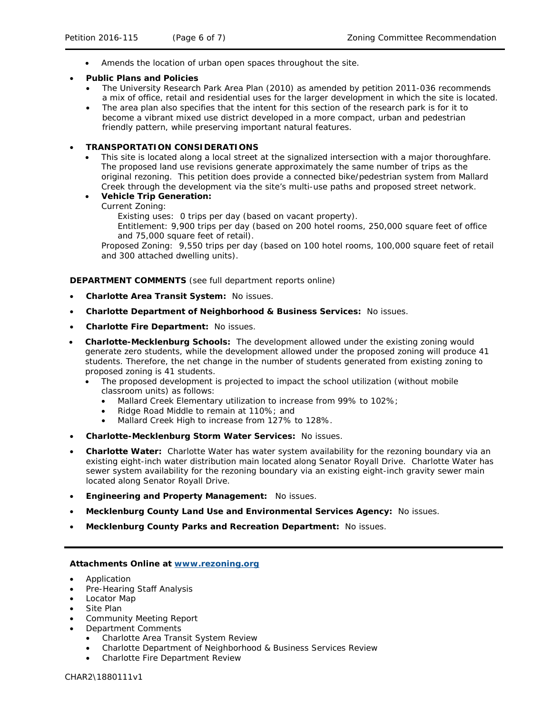- Amends the location of urban open spaces throughout the site.
- **Public Plans and Policies**
	- The *University Research Park Area Plan* (2010) as amended by petition 2011-036 recommends a mix of office, retail and residential uses for the larger development in which the site is located.
	- The area plan also specifies that the intent for this section of the research park is for it to become a vibrant mixed use district developed in a more compact, urban and pedestrian friendly pattern, while preserving important natural features.

#### • **TRANSPORTATION CONSIDERATIONS**

- This site is located along a local street at the signalized intersection with a major thoroughfare. The proposed land use revisions generate approximately the same number of trips as the original rezoning. This petition does provide a connected bike/pedestrian system from Mallard Creek through the development via the site's multi-use paths and proposed street network.
- **Vehicle Trip Generation:**

Current Zoning:

Existing uses: 0 trips per day (based on vacant property).

Entitlement: 9,900 trips per day (based on 200 hotel rooms, 250,000 square feet of office and 75,000 square feet of retail).

Proposed Zoning: 9,550 trips per day (based on 100 hotel rooms, 100,000 square feet of retail and 300 attached dwelling units).

**DEPARTMENT COMMENTS** (see full department reports online)

- **Charlotte Area Transit System:** No issues.
- **Charlotte Department of Neighborhood & Business Services:** No issues.
- **Charlotte Fire Department:** No issues.
- **Charlotte-Mecklenburg Schools:** The development allowed under the existing zoning would generate zero students, while the development allowed under the proposed zoning will produce 41 students. Therefore, the net change in the number of students generated from existing zoning to proposed zoning is 41 students.
	- The proposed development is projected to impact the school utilization (without mobile classroom units) as follows:
		- Mallard Creek Elementary utilization to increase from 99% to 102%;
		- Ridge Road Middle to remain at 110%; and
		- Mallard Creek High to increase from 127% to 128%.
- **Charlotte-Mecklenburg Storm Water Services:** No issues.
- **Charlotte Water:** Charlotte Water has water system availability for the rezoning boundary via an existing eight-inch water distribution main located along Senator Royall Drive. Charlotte Water has sewer system availability for the rezoning boundary via an existing eight-inch gravity sewer main located along Senator Royall Drive.
- **Engineering and Property Management:** No issues.
- **Mecklenburg County Land Use and Environmental Services Agency:** No issues.
- **Mecklenburg County Parks and Recreation Department:** No issues.

#### **Attachments Online at [www.rezoning.org](http://www.rezoning.org/)**

- **Application**
- Pre-Hearing Staff Analysis
- Locator Map
- Site Plan
- Community Meeting Report
- Department Comments
	- Charlotte Area Transit System Review
	- Charlotte Department of Neighborhood & Business Services Review
	- Charlotte Fire Department Review